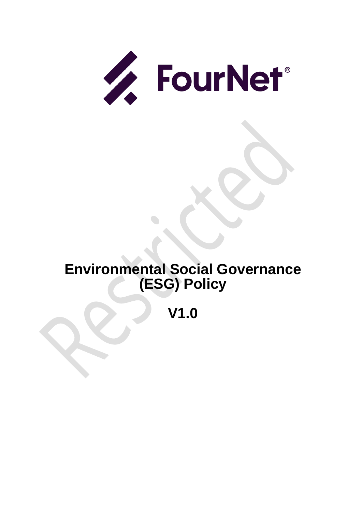

# **Environmental Social Governance (ESG) Policy**

**V1.0**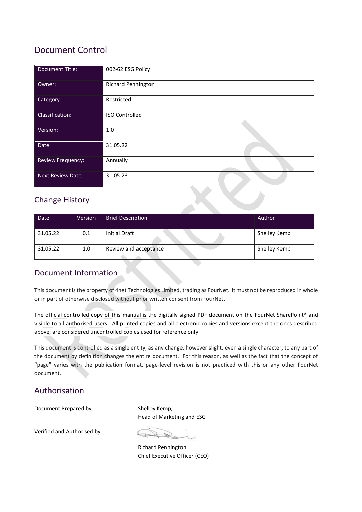# Document Control

| <b>Document Title:</b>   | 002-62 ESG Policy         |
|--------------------------|---------------------------|
| Owner:                   | <b>Richard Pennington</b> |
| Category:                | Restricted                |
| Classification:          | <b>ISO Controlled</b>     |
| Version:                 | $1.0$                     |
| Date:                    | 31.05.22                  |
| <b>Review Frequency:</b> | Annually                  |
| <b>Next Review Date:</b> | 31.05.23                  |

# Change History

| Date     | Version | <b>Brief Description</b> | Author       |
|----------|---------|--------------------------|--------------|
| 31.05.22 | 0.1     | <b>Initial Draft</b>     | Shelley Kemp |
| 31.05.22 | 1.0     | Review and acceptance    | Shelley Kemp |

## Document Information

This document is the property of 4net Technologies Limited, trading as FourNet. It must not be reproduced in whole or in part of otherwise disclosed without prior written consent from FourNet.

The official controlled copy of this manual is the digitally signed PDF document on the FourNet SharePoint® and visible to all authorised users. All printed copies and all electronic copies and versions except the ones described above, are considered uncontrolled copies used for reference only.

This document is controlled as a single entity, as any change, however slight, even a single character, to any part of the document by definition changes the entire document. For this reason, as well as the fact that the concept of "page" varies with the publication format, page-level revision is not practiced with this or any other FourNet document.

### Authorisation

Document Prepared by: Shelley Kemp,

Head of Marketing and ESG

Verified and Authorised by:

Richard Pennington Chief Executive Officer (CEO)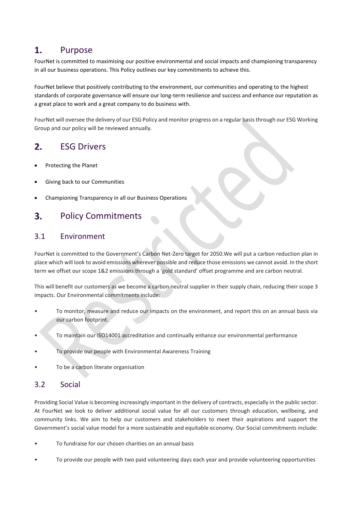#### 1. Purpose

FourNet is committed to maximising our positive environmental and social impacts and championing transparency in all our business operations. This Policy outlines our key commitments to achieve this.

FourNet believe that positively contributing to the environment, our communities and operating to the highest standards of corporate governance will ensure our long-term resilience and success and enhance our reputation as a great place to work and a great company to do business with.

FourNet will oversee the delivery of our ESG Policy and monitor progress on a regular basis through our ESG Working Group and our policy will be reviewed annually.

### ESG Drivers  $2.$

- Protecting the Planet
- Giving back to our Communities
- Championing Transparency in all our Business Operations

### $3.$ Policy Commitments

### 3.1 Environment

FourNet is committed to the Government's Carbon Net-Zero target for 2050.We will put a carbon reduction plan in place which will look to avoid emissions wherever possible and reduce those emissions we cannot avoid. In the short term we offset our scope 1&2 emissions through a 'gold standard' offset programme and are carbon neutral.

This will benefit our customers as we become a carbon neutral supplier in their supply chain, reducing their scope 3 impacts. Our Environmental commitments include:

- To monitor, measure and reduce our impacts on the environment, and report this on an annual basis via our carbon footprint.
- To maintain our ISO14001 accreditation and continually enhance our environmental performance
- To provide our people with Environmental Awareness Training
- To be a carbon literate organisation

### 3.2 Social

Providing Social Value is becoming increasingly important in the delivery of contracts, especially in the public sector. At FourNet we look to deliver additional social value for all our customers through education, wellbeing, and community links. We aim to help our customers and stakeholders to meet their aspirations and support the Government's social value model for a more sustainable and equitable economy. Our Social commitments include:

- To fundraise for our chosen charities on an annual basis
- To provide our people with two paid volunteering days each year and provide volunteering opportunities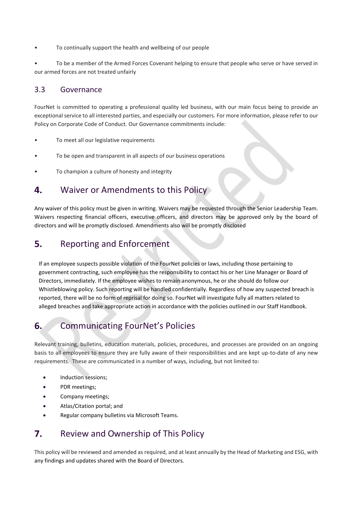To continually support the health and wellbeing of our people

• To be a member of the Armed Forces Covenant helping to ensure that people who serve or have served in our armed forces are not treated unfairly

### 3.3 Governance

FourNet is committed to operating a professional quality led business, with our main focus being to provide an exceptional service to all interested parties, and especially our customers. For more information, please refer to our Policy on Corporate Code of Conduct. Our Governance commitments include:

- To meet all our legislative requirements
- To be open and transparent in all aspects of our business operations
- To champion a culture of honesty and integrity

#### Waiver or Amendments to this Policy 4.

Any waiver of this policy must be given in writing. Waivers may be requested through the Senior Leadership Team. Waivers respecting financial officers, executive officers, and directors may be approved only by the board of directors and will be promptly disclosed. Amendments also will be promptly disclosed

### Reporting and Enforcement  $5.$

If an employee suspects possible violation of the FourNet policies or laws, including those pertaining to government contracting, such employee has the responsibility to contact his or her Line Manager or Board of Directors, immediately. If the employee wishes to remain anonymous, he or she should do follow our Whistleblowing policy. Such reporting will be handled confidentially. Regardless of how any suspected breach is reported, there will be no form of reprisal for doing so. FourNet will investigate fully all matters related to alleged breaches and take appropriate action in accordance with the policies outlined in our Staff Handbook.

### 6. Communicating FourNet's Policies

Relevant training, bulletins, education materials, policies, procedures, and processes are provided on an ongoing basis to all employees to ensure they are fully aware of their responsibilities and are kept up-to-date of any new requirements. These are communicated in a number of ways, including, but not limited to:

- Induction sessions;
- PDR meetings;
- Company meetings;
- Atlas/Citation portal; and
- Regular company bulletins via Microsoft Teams.

### 7. Review and Ownership of This Policy

This policy will be reviewed and amended as required, and at least annually by the Head of Marketing and ESG, with any findings and updates shared with the Board of Directors.